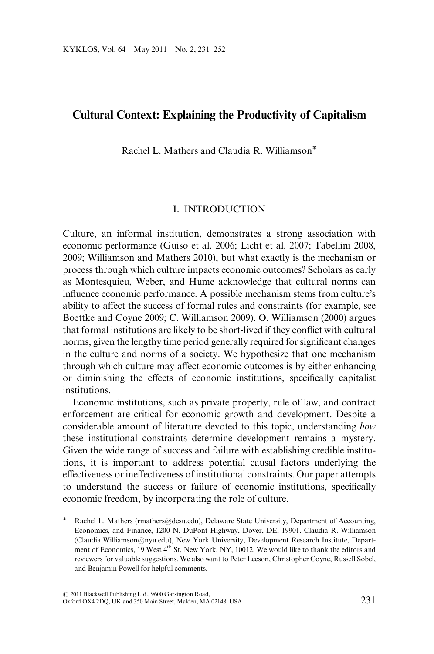# Cultural Context: Explaining the Productivity of Capitalism

Rachel L. Mathers and Claudia R. Williamson\*

### I. INTRODUCTION

Culture, an informal institution, demonstrates a strong association with economic performance (Guiso et al. 2006; Licht et al. 2007; Tabellini 2008, 2009; Williamson and Mathers 2010), but what exactly is the mechanism or process through which culture impacts economic outcomes? Scholars as early as Montesquieu, Weber, and Hume acknowledge that cultural norms can influence economic performance. A possible mechanism stems from culture's ability to affect the success of formal rules and constraints (for example, see Boettke and Coyne 2009; C. Williamson 2009). O. Williamson (2000) argues that formal institutions are likely to be short-lived if they conflict with cultural norms, given the lengthy time period generally required for significant changes in the culture and norms of a society. We hypothesize that one mechanism through which culture may affect economic outcomes is by either enhancing or diminishing the effects of economic institutions, specifically capitalist institutions.

Economic institutions, such as private property, rule of law, and contract enforcement are critical for economic growth and development. Despite a considerable amount of literature devoted to this topic, understanding how these institutional constraints determine development remains a mystery. Given the wide range of success and failure with establishing credible institutions, it is important to address potential causal factors underlying the effectiveness or ineffectiveness of institutional constraints. Our paper attempts to understand the success or failure of economic institutions, specifically economic freedom, by incorporating the role of culture.

- Rachel L. Mathers ([rmathers@desu.edu\), Delaware State University, Department of Accounting,](mailto:rmathers@desu.edu) [Economics, and Finance, 1200 N. DuPont Highway, Dover, DE, 19901. Claudia R. Williamson](mailto:rmathers@desu.edu) [\(Claudia.Williamson@nyu.edu\), New York University, Development Research Institute, Depart](mailto:Claudia.Williamson@nyu.edu)[ment](mailto:Claudia.Williamson@nyu.edu) [of](mailto:Claudia.Williamson@nyu.edu) [Economics,](mailto:Claudia.Williamson@nyu.edu) [19](mailto:Claudia.Williamson@nyu.edu) [West](mailto:Claudia.Williamson@nyu.edu) 4<sup>th</sup> [St, New York, NY, 10012. We would like to thank the editors and](mailto:Claudia.Williamson@nyu.edu) [reviewers for valuable suggestions. We also want to Peter Leeson, Christopher Coyne, Russell Sobel,](mailto:Claudia.Williamson@nyu.edu) [and Benjamin Powell for helpful comments.](mailto:Claudia.Williamson@nyu.edu)

 $\odot$  2011 Blackwell Publishing Ltd., 9600 Garsington Road,  $\frac{1}{\sqrt{25}}$  Oxford OX4 2DQ, UK and 350 Main Street, Malden, MA 02148, USA  $231$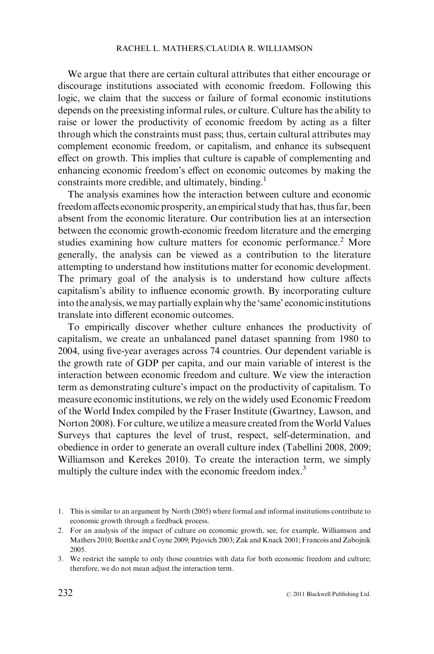We argue that there are certain cultural attributes that either encourage or discourage institutions associated with economic freedom. Following this logic, we claim that the success or failure of formal economic institutions depends on the preexisting informal rules, or culture. Culture has the ability to raise or lower the productivity of economic freedom by acting as a filter through which the constraints must pass; thus, certain cultural attributes may complement economic freedom, or capitalism, and enhance its subsequent effect on growth. This implies that culture is capable of complementing and enhancing economic freedom's effect on economic outcomes by making the constraints more credible, and ultimately, binding.<sup>1</sup>

The analysis examines how the interaction between culture and economic freedom affects economic prosperity, an empirical study that has, thus far, been absent from the economic literature. Our contribution lies at an intersection between the economic growth-economic freedom literature and the emerging studies examining how culture matters for economic performance.<sup>2</sup> More generally, the analysis can be viewed as a contribution to the literature attempting to understand how institutions matter for economic development. The primary goal of the analysis is to understand how culture affects capitalism's ability to influence economic growth. By incorporating culture into the analysis, we may partially explain why the 'same' economic institutions translate into different economic outcomes.

To empirically discover whether culture enhances the productivity of capitalism, we create an unbalanced panel dataset spanning from 1980 to 2004, using five-year averages across 74 countries. Our dependent variable is the growth rate of GDP per capita, and our main variable of interest is the interaction between economic freedom and culture. We view the interaction term as demonstrating culture's impact on the productivity of capitalism. To measure economic institutions, we rely on the widely used Economic Freedom of the World Index compiled by the Fraser Institute (Gwartney, Lawson, and Norton 2008). For culture, we utilize a measure created from theWorld Values Surveys that captures the level of trust, respect, self-determination, and obedience in order to generate an overall culture index (Tabellini 2008, 2009; Williamson and Kerekes 2010). To create the interaction term, we simply multiply the culture index with the economic freedom index.<sup>3</sup>

<sup>1.</sup> This is similar to an argument by North (2005) where formal and informal institutions contribute to economic growth through a feedback process.

<sup>2.</sup> For an analysis of the impact of culture on economic growth, see, for example, Williamson and Mathers 2010; Boettke and Coyne 2009; Pejovich 2003; Zak and Knack 2001; Francois and Zabojnik 2005.

<sup>3.</sup> We restrict the sample to only those countries with data for both economic freedom and culture; therefore, we do not mean adjust the interaction term.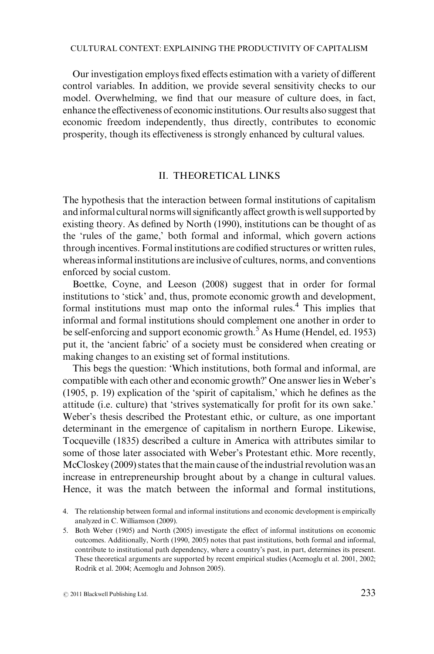### CULTURAL CONTEXT: EXPLAINING THE PRODUCTIVITY OF CAPITALISM

Our investigation employs fixed effects estimation with a variety of different control variables. In addition, we provide several sensitivity checks to our model. Overwhelming, we find that our measure of culture does, in fact, enhance the effectiveness of economic institutions. Our results also suggest that economic freedom independently, thus directly, contributes to economic prosperity, though its effectiveness is strongly enhanced by cultural values.

### II. THEORETICAL LINKS

The hypothesis that the interaction between formal institutions of capitalism and informal cultural norms will significantly affect growth is well supported by existing theory. As defined by North (1990), institutions can be thought of as the 'rules of the game,' both formal and informal, which govern actions through incentives. Formal institutions are codified structures or written rules, whereas informal institutions are inclusive of cultures, norms, and conventions enforced by social custom.

Boettke, Coyne, and Leeson (2008) suggest that in order for formal institutions to 'stick' and, thus, promote economic growth and development, formal institutions must map onto the informal rules.<sup>4</sup> This implies that informal and formal institutions should complement one another in order to be self-enforcing and support economic growth.<sup>5</sup> As Hume (Hendel, ed. 1953) put it, the 'ancient fabric' of a society must be considered when creating or making changes to an existing set of formal institutions.

This begs the question: 'Which institutions, both formal and informal, are compatible with each other and economic growth?' One answer lies in Weber's (1905, p. 19) explication of the 'spirit of capitalism,' which he defines as the attitude (i.e. culture) that 'strives systematically for profit for its own sake.' Weber's thesis described the Protestant ethic, or culture, as one important determinant in the emergence of capitalism in northern Europe. Likewise, Tocqueville (1835) described a culture in America with attributes similar to some of those later associated with Weber's Protestant ethic. More recently, McCloskey (2009) states that the main cause of the industrial revolution was an increase in entrepreneurship brought about by a change in cultural values. Hence, it was the match between the informal and formal institutions,

<sup>4.</sup> The relationship between formal and informal institutions and economic development is empirically analyzed in C. Williamson (2009).

<sup>5.</sup> Both Weber (1905) and North (2005) investigate the effect of informal institutions on economic outcomes. Additionally, North (1990, 2005) notes that past institutions, both formal and informal, contribute to institutional path dependency, where a country's past, in part, determines its present. These theoretical arguments are supported by recent empirical studies (Acemoglu et al. 2001, 2002; Rodrik et al. 2004; Acemoglu and Johnson 2005).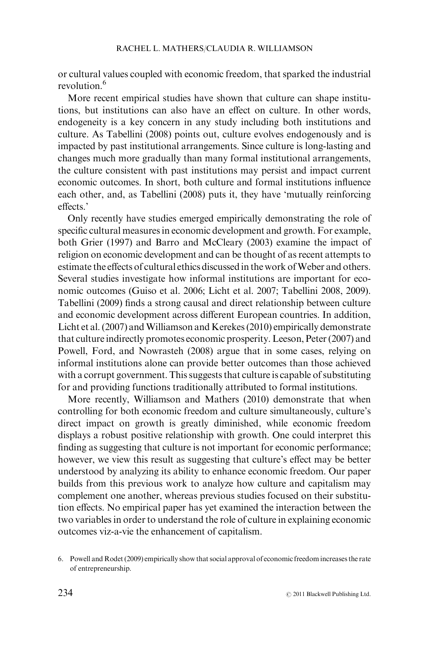or cultural values coupled with economic freedom, that sparked the industrial revolution.<sup>6</sup>

More recent empirical studies have shown that culture can shape institutions, but institutions can also have an effect on culture. In other words, endogeneity is a key concern in any study including both institutions and culture. As Tabellini (2008) points out, culture evolves endogenously and is impacted by past institutional arrangements. Since culture is long-lasting and changes much more gradually than many formal institutional arrangements, the culture consistent with past institutions may persist and impact current economic outcomes. In short, both culture and formal institutions influence each other, and, as Tabellini (2008) puts it, they have 'mutually reinforcing effects.'

Only recently have studies emerged empirically demonstrating the role of specific cultural measures in economic development and growth. For example, both Grier (1997) and Barro and McCleary (2003) examine the impact of religion on economic development and can be thought of as recent attempts to estimate the effects of cultural ethics discussed in the work of Weber and others. Several studies investigate how informal institutions are important for economic outcomes (Guiso et al. 2006; Licht et al. 2007; Tabellini 2008, 2009). Tabellini (2009) finds a strong causal and direct relationship between culture and economic development across different European countries. In addition, Licht et al. (2007) and Williamson and Kerekes (2010) empirically demonstrate that culture indirectly promotes economic prosperity. Leeson, Peter (2007) and Powell, Ford, and Nowrasteh (2008) argue that in some cases, relying on informal institutions alone can provide better outcomes than those achieved with a corrupt government. This suggests that culture is capable of substituting for and providing functions traditionally attributed to formal institutions.

More recently, Williamson and Mathers (2010) demonstrate that when controlling for both economic freedom and culture simultaneously, culture's direct impact on growth is greatly diminished, while economic freedom displays a robust positive relationship with growth. One could interpret this finding as suggesting that culture is not important for economic performance; however, we view this result as suggesting that culture's effect may be better understood by analyzing its ability to enhance economic freedom. Our paper builds from this previous work to analyze how culture and capitalism may complement one another, whereas previous studies focused on their substitution effects. No empirical paper has yet examined the interaction between the two variables in order to understand the role of culture in explaining economic outcomes viz-a-vie the enhancement of capitalism.

<sup>6.</sup> Powell and Rodet (2009) empirically show that social approval of economic freedom increases the rate of entrepreneurship.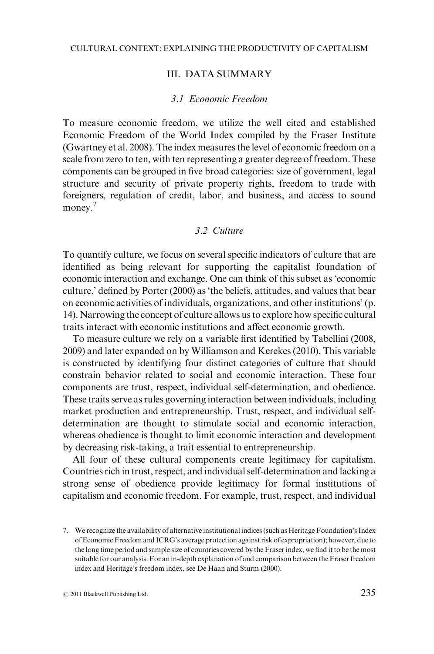### III. DATA SUMMARY

### 3.1 Economic Freedom

To measure economic freedom, we utilize the well cited and established Economic Freedom of the World Index compiled by the Fraser Institute (Gwartney et al. 2008). The index measures the level of economic freedom on a scale from zero to ten, with ten representing a greater degree of freedom. These components can be grouped in five broad categories: size of government, legal structure and security of private property rights, freedom to trade with foreigners, regulation of credit, labor, and business, and access to sound money.<sup>7</sup>

## 3.2 Culture

To quantify culture, we focus on several specific indicators of culture that are identified as being relevant for supporting the capitalist foundation of economic interaction and exchange. One can think of this subset as 'economic culture,' defined by Porter (2000) as 'the beliefs, attitudes, and values that bear on economic activities of individuals, organizations, and other institutions' (p. 14). Narrowing the concept of culture allows us to explore how specific cultural traits interact with economic institutions and affect economic growth.

To measure culture we rely on a variable first identified by Tabellini (2008, 2009) and later expanded on by Williamson and Kerekes (2010). This variable is constructed by identifying four distinct categories of culture that should constrain behavior related to social and economic interaction. These four components are trust, respect, individual self-determination, and obedience. These traits serve as rules governing interaction between individuals, including market production and entrepreneurship. Trust, respect, and individual selfdetermination are thought to stimulate social and economic interaction, whereas obedience is thought to limit economic interaction and development by decreasing risk-taking, a trait essential to entrepreneurship.

All four of these cultural components create legitimacy for capitalism. Countries rich in trust, respect, and individual self-determination and lacking a strong sense of obedience provide legitimacy for formal institutions of capitalism and economic freedom. For example, trust, respect, and individual

<sup>7.</sup> We recognize the availability of alternative institutional indices (such as Heritage Foundation's Index of Economic Freedom and ICRG's average protection against risk of expropriation); however, due to the long time period and sample size of countries covered by the Fraser index, we find it to be the most suitable for our analysis. For an in-depth explanation of and comparison between the Fraser freedom index and Heritage's freedom index, see De Haan and Sturm (2000).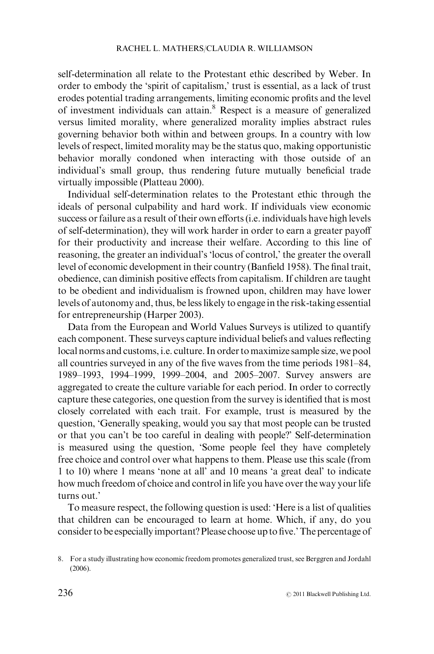self-determination all relate to the Protestant ethic described by Weber. In order to embody the 'spirit of capitalism,' trust is essential, as a lack of trust erodes potential trading arrangements, limiting economic profits and the level of investment individuals can attain.8 Respect is a measure of generalized versus limited morality, where generalized morality implies abstract rules governing behavior both within and between groups. In a country with low levels of respect, limited morality may be the status quo, making opportunistic behavior morally condoned when interacting with those outside of an individual's small group, thus rendering future mutually beneficial trade virtually impossible (Platteau 2000).

Individual self-determination relates to the Protestant ethic through the ideals of personal culpability and hard work. If individuals view economic success or failure as a result of their own efforts (i.e. individuals have high levels of self-determination), they will work harder in order to earn a greater payoff for their productivity and increase their welfare. According to this line of reasoning, the greater an individual's 'locus of control,' the greater the overall level of economic development in their country (Banfield 1958). The final trait, obedience, can diminish positive effects from capitalism. If children are taught to be obedient and individualism is frowned upon, children may have lower levels of autonomy and, thus, be less likely to engage in the risk-taking essential for entrepreneurship (Harper 2003).

Data from the European and World Values Surveys is utilized to quantify each component. These surveys capture individual beliefs and values reflecting local norms and customs, i.e. culture. In order to maximize sample size, we pool all countries surveyed in any of the five waves from the time periods 1981–84, 1989–1993, 1994–1999, 1999–2004, and 2005–2007. Survey answers are aggregated to create the culture variable for each period. In order to correctly capture these categories, one question from the survey is identified that is most closely correlated with each trait. For example, trust is measured by the question, 'Generally speaking, would you say that most people can be trusted or that you can't be too careful in dealing with people?' Self-determination is measured using the question, 'Some people feel they have completely free choice and control over what happens to them. Please use this scale (from 1 to 10) where 1 means 'none at all' and 10 means 'a great deal' to indicate how much freedom of choice and control in life you have over the way your life turns out.'

To measure respect, the following question is used: 'Here is a list of qualities that children can be encouraged to learn at home. Which, if any, do you consider to be especially important? Please choose up to five.' The percentage of

<sup>8.</sup> For a study illustrating how economic freedom promotes generalized trust, see Berggren and Jordahl (2006).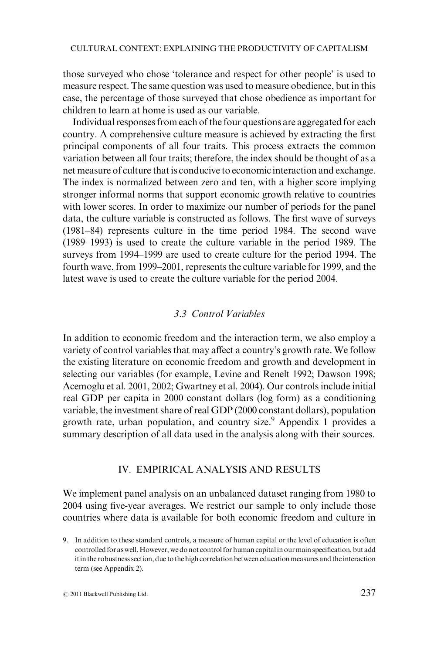those surveyed who chose 'tolerance and respect for other people' is used to measure respect. The same question was used to measure obedience, but in this case, the percentage of those surveyed that chose obedience as important for children to learn at home is used as our variable.

Individual responses from each of the four questions are aggregated for each country. A comprehensive culture measure is achieved by extracting the first principal components of all four traits. This process extracts the common variation between all four traits; therefore, the index should be thought of as a net measure of culture that is conducive to economic interaction and exchange. The index is normalized between zero and ten, with a higher score implying stronger informal norms that support economic growth relative to countries with lower scores. In order to maximize our number of periods for the panel data, the culture variable is constructed as follows. The first wave of surveys (1981–84) represents culture in the time period 1984. The second wave (1989–1993) is used to create the culture variable in the period 1989. The surveys from 1994–1999 are used to create culture for the period 1994. The fourth wave, from 1999–2001, represents the culture variable for 1999, and the latest wave is used to create the culture variable for the period 2004.

### 3.3 Control Variables

In addition to economic freedom and the interaction term, we also employ a variety of control variables that may affect a country's growth rate. We follow the existing literature on economic freedom and growth and development in selecting our variables (for example, Levine and Renelt 1992; Dawson 1998; Acemoglu et al. 2001, 2002; Gwartney et al. 2004). Our controls include initial real GDP per capita in 2000 constant dollars (log form) as a conditioning variable, the investment share of real GDP (2000 constant dollars), population growth rate, urban population, and country size.<sup>9</sup> Appendix 1 provides a summary description of all data used in the analysis along with their sources.

### IV. EMPIRICAL ANALYSIS AND RESULTS

We implement panel analysis on an unbalanced dataset ranging from 1980 to 2004 using five-year averages. We restrict our sample to only include those countries where data is available for both economic freedom and culture in

<sup>9.</sup> In addition to these standard controls, a measure of human capital or the level of education is often controlled for as well. However, we do not control for human capitalin ourmain specification, but add itin the robustness section, due to the high correlation between education measures and theinteraction term (see Appendix 2).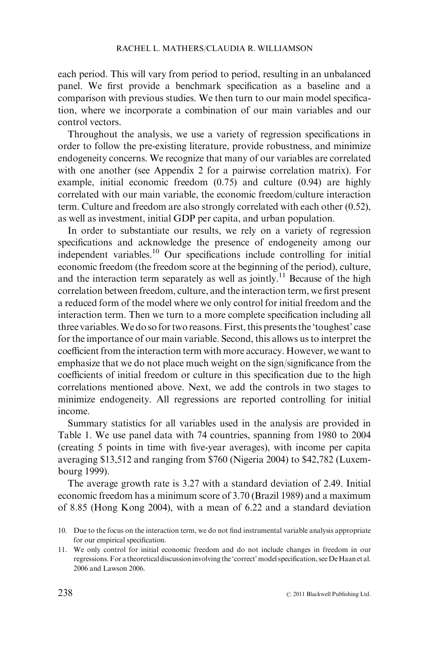each period. This will vary from period to period, resulting in an unbalanced panel. We first provide a benchmark specification as a baseline and a comparison with previous studies. We then turn to our main model specification, where we incorporate a combination of our main variables and our control vectors.

Throughout the analysis, we use a variety of regression specifications in order to follow the pre-existing literature, provide robustness, and minimize endogeneity concerns. We recognize that many of our variables are correlated with one another (see Appendix 2 for a pairwise correlation matrix). For example, initial economic freedom (0.75) and culture (0.94) are highly correlated with our main variable, the economic freedom/culture interaction term. Culture and freedom are also strongly correlated with each other (0.52), as well as investment, initial GDP per capita, and urban population.

In order to substantiate our results, we rely on a variety of regression specifications and acknowledge the presence of endogeneity among our independent variables.10 Our specifications include controlling for initial economic freedom (the freedom score at the beginning of the period), culture, and the interaction term separately as well as jointly.<sup>11</sup> Because of the high correlation between freedom, culture, and the interaction term, we first present a reduced form of the model where we only control for initial freedom and the interaction term. Then we turn to a more complete specification including all three variables.We do so for two reasons. First, this presents the 'toughest' case for the importance of our main variable. Second, this allows us to interpret the coefficient from the interaction term with more accuracy. However, we want to emphasize that we do not place much weight on the sign/significance from the coefficients of initial freedom or culture in this specification due to the high correlations mentioned above. Next, we add the controls in two stages to minimize endogeneity. All regressions are reported controlling for initial income.

Summary statistics for all variables used in the analysis are provided in Table 1. We use panel data with 74 countries, spanning from 1980 to 2004 (creating 5 points in time with five-year averages), with income per capita averaging \$13,512 and ranging from \$760 (Nigeria 2004) to \$42,782 (Luxembourg 1999).

The average growth rate is 3.27 with a standard deviation of 2.49. Initial economic freedom has a minimum score of 3.70 (Brazil 1989) and a maximum of 8.85 (Hong Kong 2004), with a mean of 6.22 and a standard deviation

<sup>10.</sup> Due to the focus on the interaction term, we do not find instrumental variable analysis appropriate for our empirical specification.

<sup>11.</sup> We only control for initial economic freedom and do not include changes in freedom in our regressions. For a theoretical discussioninvolving the 'correct' model specification, see DeHaan et al. 2006 and Lawson 2006.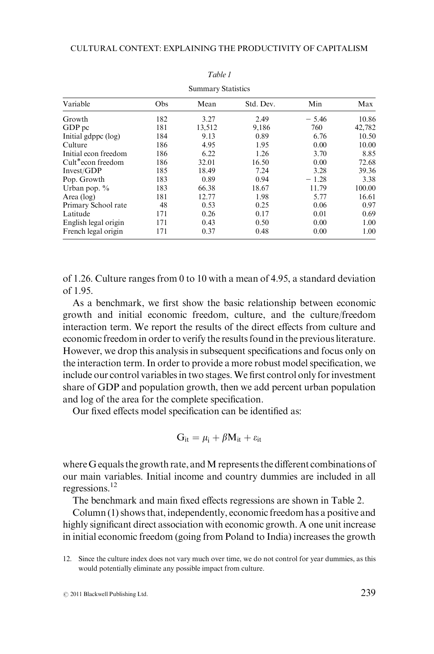| Variable                       | Obs | Mean   | Std. Dev. | Min     | Max    |  |
|--------------------------------|-----|--------|-----------|---------|--------|--|
| Growth                         | 182 | 3.27   | 2.49      | $-5.46$ | 10.86  |  |
| GDP pc                         | 181 | 13,512 | 9,186     | 760     | 42,782 |  |
| Initial gdppc (log)            | 184 | 9.13   | 0.89      | 6.76    | 10.50  |  |
| Culture                        | 186 | 4.95   | 1.95      | 0.00    | 10.00  |  |
| Initial econ freedom           | 186 | 6.22   | 1.26      | 3.70    | 8.85   |  |
| Cult <sup>*</sup> econ freedom | 186 | 32.01  | 16.50     | 0.00    | 72.68  |  |
| Invest/GDP                     | 185 | 18.49  | 7.24      | 3.28    | 39.36  |  |
| Pop. Growth                    | 183 | 0.89   | 0.94      | $-1.28$ | 3.38   |  |
| Urban pop. $\%$                | 183 | 66.38  | 18.67     | 11.79   | 100.00 |  |
| Area $(log)$                   | 181 | 12.77  | 1.98      | 5.77    | 16.61  |  |
| Primary School rate            | 48  | 0.53   | 0.25      | 0.06    | 0.97   |  |
| Latitude                       | 171 | 0.26   | 0.17      | 0.01    | 0.69   |  |
| English legal origin           | 171 | 0.43   | 0.50      | 0.00    | 1.00   |  |
| French legal origin            | 171 | 0.37   | 0.48      | 0.00    | 1.00   |  |

Table 1

Summary Statistics

of 1.26. Culture ranges from 0 to 10 with a mean of 4.95, a standard deviation of 1.95.

As a benchmark, we first show the basic relationship between economic growth and initial economic freedom, culture, and the culture/freedom interaction term. We report the results of the direct effects from culture and economic freedom in order to verify the results found in the previous literature. However, we drop this analysis in subsequent specifications and focus only on the interaction term. In order to provide a more robust model specification, we include our control variables in two stages.We first control only for investment share of GDP and population growth, then we add percent urban population and log of the area for the complete specification.

Our fixed effects model specification can be identified as:

$$
G_{it} = \mu_i + \beta M_{it} + \epsilon_{it}
$$

where G equals the growth rate, and M represents the different combinations of our main variables. Initial income and country dummies are included in all regressions.12

The benchmark and main fixed effects regressions are shown in Table 2.

Column (1) shows that, independently, economic freedom has a positive and highly significant direct association with economic growth. A one unit increase in initial economic freedom (going from Poland to India) increases the growth

<sup>12.</sup> Since the culture index does not vary much over time, we do not control for year dummies, as this would potentially eliminate any possible impact from culture.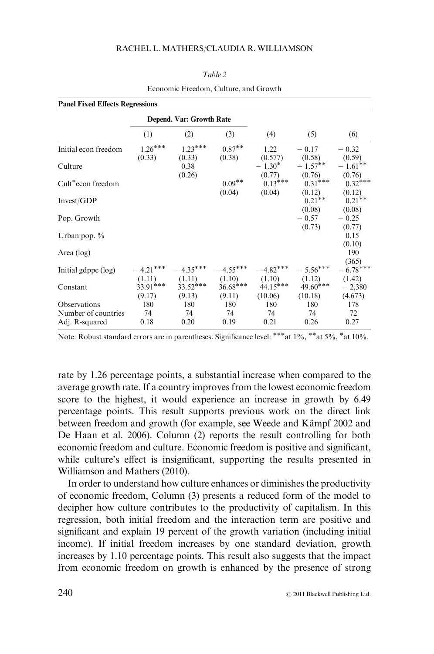| <b>Panel Fixed Effects Regressions</b> |                      |                                          |                                                                      |                                                      |                                                                          |
|----------------------------------------|----------------------|------------------------------------------|----------------------------------------------------------------------|------------------------------------------------------|--------------------------------------------------------------------------|
|                                        |                      |                                          |                                                                      |                                                      |                                                                          |
| (1)                                    | (2)                  | (3)                                      | (4)                                                                  | (5)                                                  | (6)                                                                      |
| $1.26***$                              | $1.23***$            | $0.87**$                                 | 1.22                                                                 | $-0.17$                                              | $-0.32$<br>(0.59)                                                        |
|                                        | 0.38                 |                                          | $-1.30*$                                                             | $-1.57***$                                           | $-1.61***$                                                               |
|                                        |                      | $0.09**$                                 | $0.13***$                                                            | $0.31***$                                            | (0.76)<br>$0.32***$<br>(0.12)                                            |
|                                        |                      |                                          |                                                                      | $0.21***$                                            | $0.21***$                                                                |
|                                        |                      |                                          |                                                                      | (0.08)<br>$-0.57$                                    | (0.08)<br>$-0.25$<br>(0.77)                                              |
|                                        |                      |                                          |                                                                      |                                                      | 0.15                                                                     |
|                                        |                      |                                          |                                                                      |                                                      | (0.10)<br>190<br>(365)                                                   |
| $-4.21***$                             |                      |                                          |                                                                      |                                                      | $-6.78***$                                                               |
| (1.11)                                 | (1.11)<br>$33.52***$ | (1.10)<br>$36.68***$                     | (1.10)<br>$44.15***$                                                 | (1.12)<br>$49.60***$                                 | (1.42)<br>$-2,380$<br>(4,673)                                            |
| 180<br>74<br>0.18                      | 180<br>74<br>0.20    | 180<br>74<br>0.19                        | 180<br>74<br>0.21                                                    | 180<br>74<br>0.26                                    | 178<br>72<br>0.27                                                        |
|                                        | (0.33)<br>(9.17)     | (0.33)<br>(0.26)<br>$33.91***$<br>(9.13) | Depend. Var: Growth Rate<br>(0.38)<br>(0.04)<br>$-4.35***$<br>(9.11) | (0.577)<br>(0.77)<br>(0.04)<br>$-4.55***$<br>(10.06) | (0.58)<br>(0.76)<br>(0.12)<br>(0.73)<br>$-4.82***$ $-5.56***$<br>(10.18) |

Economic Freedom, Culture, and Growth

Note: Robust standard errors are in parentheses. Significance level: \*\*\* at 1%, \*\* at 5%, \*at 10%.

rate by 1.26 percentage points, a substantial increase when compared to the average growth rate. If a country improves from the lowest economic freedom score to the highest, it would experience an increase in growth by 6.49 percentage points. This result supports previous work on the direct link between freedom and growth (for example, see Weede and Kämpf 2002 and De Haan et al. 2006). Column (2) reports the result controlling for both economic freedom and culture. Economic freedom is positive and significant, while culture's effect is insignificant, supporting the results presented in Williamson and Mathers (2010).

In order to understand how culture enhances or diminishes the productivity of economic freedom, Column (3) presents a reduced form of the model to decipher how culture contributes to the productivity of capitalism. In this regression, both initial freedom and the interaction term are positive and significant and explain 19 percent of the growth variation (including initial income). If initial freedom increases by one standard deviation, growth increases by 1.10 percentage points. This result also suggests that the impact from economic freedom on growth is enhanced by the presence of strong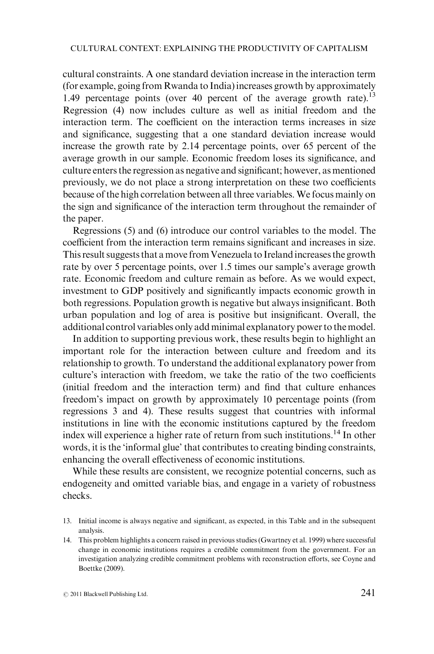cultural constraints. A one standard deviation increase in the interaction term (for example, going from Rwanda to India) increases growth by approximately 1.49 percentage points (over 40 percent of the average growth rate).<sup>13</sup> Regression (4) now includes culture as well as initial freedom and the interaction term. The coefficient on the interaction terms increases in size and significance, suggesting that a one standard deviation increase would increase the growth rate by 2.14 percentage points, over 65 percent of the average growth in our sample. Economic freedom loses its significance, and culture enters the regression as negative and significant; however, as mentioned previously, we do not place a strong interpretation on these two coefficients because of the high correlation between all three variables. We focus mainly on the sign and significance of the interaction term throughout the remainder of the paper.

Regressions (5) and (6) introduce our control variables to the model. The coefficient from the interaction term remains significant and increases in size. This result suggests that a move from Venezuela to Ireland increases the growth rate by over 5 percentage points, over 1.5 times our sample's average growth rate. Economic freedom and culture remain as before. As we would expect, investment to GDP positively and significantly impacts economic growth in both regressions. Population growth is negative but always insignificant. Both urban population and log of area is positive but insignificant. Overall, the additional control variables only add minimal explanatory power to the model.

In addition to supporting previous work, these results begin to highlight an important role for the interaction between culture and freedom and its relationship to growth. To understand the additional explanatory power from culture's interaction with freedom, we take the ratio of the two coefficients (initial freedom and the interaction term) and find that culture enhances freedom's impact on growth by approximately 10 percentage points (from regressions 3 and 4). These results suggest that countries with informal institutions in line with the economic institutions captured by the freedom index will experience a higher rate of return from such institutions.<sup>14</sup> In other words, it is the 'informal glue' that contributes to creating binding constraints, enhancing the overall effectiveness of economic institutions.

While these results are consistent, we recognize potential concerns, such as endogeneity and omitted variable bias, and engage in a variety of robustness checks.

<sup>13.</sup> Initial income is always negative and significant, as expected, in this Table and in the subsequent analysis.

<sup>14.</sup> This problem highlights a concern raised in previous studies (Gwartney et al. 1999) where successful change in economic institutions requires a credible commitment from the government. For an investigation analyzing credible commitment problems with reconstruction efforts, see Coyne and Boettke (2009).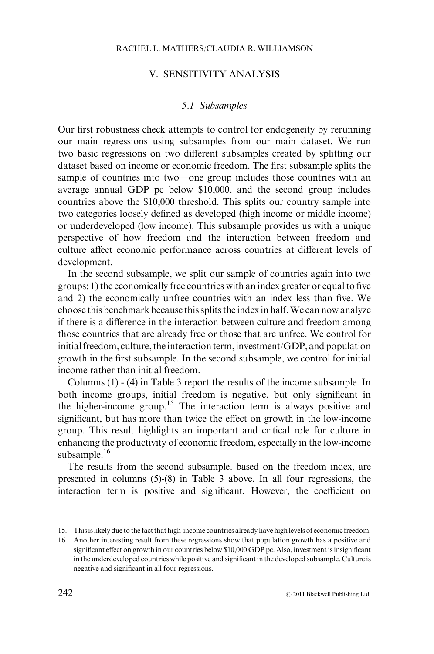## V. SENSITIVITY ANALYSIS

### 5.1 Subsamples

Our first robustness check attempts to control for endogeneity by rerunning our main regressions using subsamples from our main dataset. We run two basic regressions on two different subsamples created by splitting our dataset based on income or economic freedom. The first subsample splits the sample of countries into two—one group includes those countries with an average annual GDP pc below \$10,000, and the second group includes countries above the \$10,000 threshold. This splits our country sample into two categories loosely defined as developed (high income or middle income) or underdeveloped (low income). This subsample provides us with a unique perspective of how freedom and the interaction between freedom and culture affect economic performance across countries at different levels of development.

In the second subsample, we split our sample of countries again into two groups: 1) the economically free countries with an index greater or equal to five and 2) the economically unfree countries with an index less than five. We choose this benchmark because this splits the index in half.We can now analyze if there is a difference in the interaction between culture and freedom among those countries that are already free or those that are unfree. We control for initial freedom, culture, the interaction term, investment/GDP, and population growth in the first subsample. In the second subsample, we control for initial income rather than initial freedom.

Columns (1) - (4) in Table 3 report the results of the income subsample. In both income groups, initial freedom is negative, but only significant in the higher-income group.15 The interaction term is always positive and significant, but has more than twice the effect on growth in the low-income group. This result highlights an important and critical role for culture in enhancing the productivity of economic freedom, especially in the low-income subsample.<sup>16</sup>

The results from the second subsample, based on the freedom index, are presented in columns (5)-(8) in Table 3 above. In all four regressions, the interaction term is positive and significant. However, the coefficient on

16. Another interesting result from these regressions show that population growth has a positive and significant effect on growth in our countries below \$10,000 GDP pc. Also, investment is insignificant in the underdeveloped countries while positive and significant in the developed subsample. Culture is negative and significant in all four regressions.

<sup>15.</sup> This is likely due to the fact that high-income countries already have high levels of economic freedom.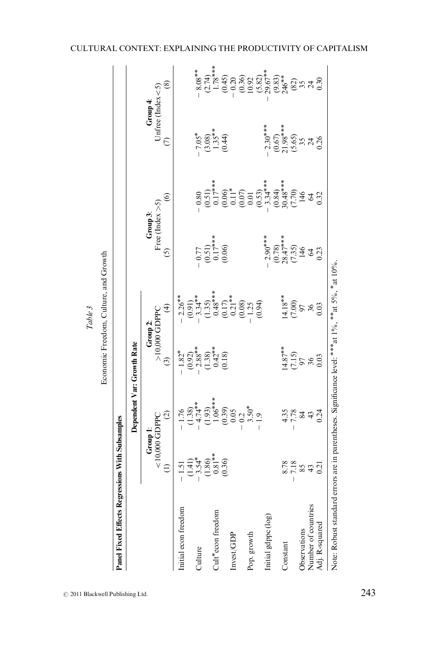| Panel Fixed Effects Regressions With Subsamples                                                     |                                                             |                                                                                                        |                                                                                                |                                                                                                                               |                                              |                                                                                                                                                                                                                                                                                                                |                                                     |           |
|-----------------------------------------------------------------------------------------------------|-------------------------------------------------------------|--------------------------------------------------------------------------------------------------------|------------------------------------------------------------------------------------------------|-------------------------------------------------------------------------------------------------------------------------------|----------------------------------------------|----------------------------------------------------------------------------------------------------------------------------------------------------------------------------------------------------------------------------------------------------------------------------------------------------------------|-----------------------------------------------------|-----------|
|                                                                                                     |                                                             | Dependent Var: Growth Rate                                                                             |                                                                                                |                                                                                                                               |                                              |                                                                                                                                                                                                                                                                                                                |                                                     |           |
|                                                                                                     | $\ominus$                                                   | $\widehat{c}$<br>$<10,000$ GDPPC<br>Group 1:                                                           | Group 2:<br>$\odot$                                                                            | E<br>$>10,000$ GDPPC                                                                                                          | Free (Index $>$ 5)<br>Group $3$ :<br>$\odot$ | $\circledcirc$                                                                                                                                                                                                                                                                                                 | Unfree (Index $<$ 5)<br>$G$ roup 4<br>$\widehat{C}$ | ⊛         |
| Initial econ freedom                                                                                | $-1.51$                                                     | $-1.76$                                                                                                | $1.82*$                                                                                        |                                                                                                                               |                                              |                                                                                                                                                                                                                                                                                                                |                                                     |           |
| Culture                                                                                             | $(1.41)$<br>$-3.54$ <sup>*</sup><br>$(1.86)$<br>$(1.86)$ ** | $(1.38)$<br>$(1.93)$<br>$(1.93)$<br>$(1.95)$<br>$(0.39)$<br>$(0.39)$<br>$(0.39)$<br>$(1.9)$<br>$(1.9)$ | $\begin{array}{c} (0.92)\\ 0.88^{**}\\ -2.88^{**}\\ (1.38)\\ 0.42^{**}\\ (0.18)\\ \end{array}$ | $-2.26$ **<br>$(0.91)$<br>$(0.91)$ ***<br>$(1.39)$ ***<br>$(1.39)$ ***<br>$(1.39)$ ***<br>$(0.008)$<br>$(0.040)$<br>$(0.040)$ |                                              |                                                                                                                                                                                                                                                                                                                |                                                     | $8.08***$ |
| Cult <sup>*</sup> econ freedom                                                                      |                                                             |                                                                                                        |                                                                                                |                                                                                                                               | $-0.77$<br>$(0.51)$<br>$0.17***$<br>$0.06$   |                                                                                                                                                                                                                                                                                                                | $-7.05^*$<br>$(3.08)$<br>$1.35^{**}$<br>$(0.44)$    |           |
|                                                                                                     | (0.36)                                                      |                                                                                                        |                                                                                                |                                                                                                                               |                                              |                                                                                                                                                                                                                                                                                                                |                                                     |           |
| Invest/GDP                                                                                          |                                                             |                                                                                                        |                                                                                                |                                                                                                                               |                                              |                                                                                                                                                                                                                                                                                                                |                                                     |           |
| Pop. growth                                                                                         |                                                             |                                                                                                        |                                                                                                |                                                                                                                               |                                              |                                                                                                                                                                                                                                                                                                                |                                                     |           |
| Initial gdppc (log)                                                                                 |                                                             |                                                                                                        |                                                                                                |                                                                                                                               | $-2.90***$                                   |                                                                                                                                                                                                                                                                                                                | $-2.30***$                                          |           |
| Constant                                                                                            |                                                             |                                                                                                        |                                                                                                |                                                                                                                               | $(0.78)$<br>28.47***<br>(7.35)<br>146        | $\begin{array}{l} 0.80 \\[-2.0mm] 0.51) \\[-2.0mm] 0.07 \\[-2.0mm] 0.00 \\[-2.0mm] 0.00 \\[-2.0mm] 0.00 \\[-2.0mm] 0.00 \\[-2.0mm] 0.00 \\[-2.0mm] 0.00 \\[-2.0mm] 0.00 \\[-2.0mm] 0.00 \\[-2.0mm] 0.00 \\[-2.0mm] 0.00 \\[-2.0mm] 0.00 \\[-2.0mm] 0.00 \\[-2.0mm] 0.00 \\[-2.0mm] 0.00 \\[-2.0mm] 0.00 \\[-2$ | $(0.67)$<br>21.98***<br>(5.65)<br>35.0<br>24.0      |           |
|                                                                                                     | $\frac{878}{728}$                                           | $3784$<br>$784$                                                                                        | $14.87$ <sup>**</sup><br>(7.15)<br>97<br>36<br>30.03                                           | $14.18***$<br>(7.00)<br>97                                                                                                    |                                              |                                                                                                                                                                                                                                                                                                                |                                                     |           |
| Observations                                                                                        |                                                             |                                                                                                        |                                                                                                |                                                                                                                               |                                              |                                                                                                                                                                                                                                                                                                                |                                                     |           |
| Number of countries                                                                                 |                                                             |                                                                                                        |                                                                                                | $\frac{36}{0.03}$                                                                                                             | $\mathcal{Z}$                                | $\mathcal{Z}$                                                                                                                                                                                                                                                                                                  |                                                     |           |
| Adj. R-squared                                                                                      | 0.21                                                        | 0.24                                                                                                   |                                                                                                |                                                                                                                               | 0.23                                         | 0.32                                                                                                                                                                                                                                                                                                           |                                                     | 0.30      |
| Note: Robust standard errors are in parentheses. Significance level: *** at 10%, ** at 5%, * at 10% |                                                             |                                                                                                        |                                                                                                |                                                                                                                               |                                              |                                                                                                                                                                                                                                                                                                                |                                                     |           |

Table 3

 $\circledcirc$  2011 Blackwell Publishing Ltd.  $243$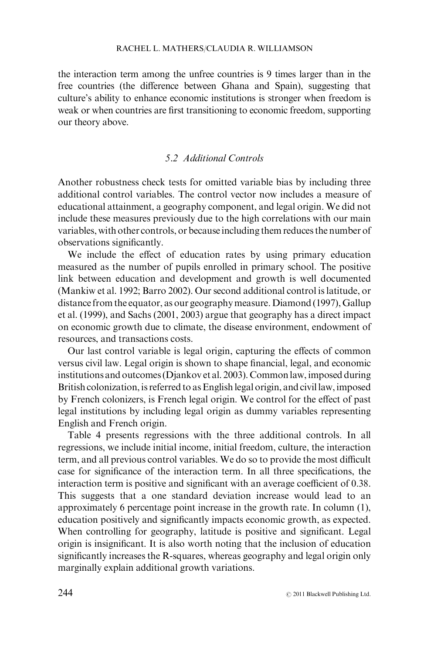the interaction term among the unfree countries is 9 times larger than in the free countries (the difference between Ghana and Spain), suggesting that culture's ability to enhance economic institutions is stronger when freedom is weak or when countries are first transitioning to economic freedom, supporting our theory above.

### 5.2 Additional Controls

Another robustness check tests for omitted variable bias by including three additional control variables. The control vector now includes a measure of educational attainment, a geography component, and legal origin. We did not include these measures previously due to the high correlations with our main variables, with other controls, or because including them reduces the number of observations significantly.

We include the effect of education rates by using primary education measured as the number of pupils enrolled in primary school. The positive link between education and development and growth is well documented (Mankiw et al. 1992; Barro 2002). Our second additional control is latitude, or distance from the equator, as our geography measure. Diamond (1997), Gallup et al. (1999), and Sachs (2001, 2003) argue that geography has a direct impact on economic growth due to climate, the disease environment, endowment of resources, and transactions costs.

Our last control variable is legal origin, capturing the effects of common versus civil law. Legal origin is shown to shape financial, legal, and economic institutions and outcomes (Djankov et al. 2003). Common law, imposed during British colonization, is referred to as English legal origin, and civil law, imposed by French colonizers, is French legal origin. We control for the effect of past legal institutions by including legal origin as dummy variables representing English and French origin.

Table 4 presents regressions with the three additional controls. In all regressions, we include initial income, initial freedom, culture, the interaction term, and all previous control variables. We do so to provide the most difficult case for significance of the interaction term. In all three specifications, the interaction term is positive and significant with an average coefficient of 0.38. This suggests that a one standard deviation increase would lead to an approximately 6 percentage point increase in the growth rate. In column (1), education positively and significantly impacts economic growth, as expected. When controlling for geography, latitude is positive and significant. Legal origin is insignificant. It is also worth noting that the inclusion of education significantly increases the R-squares, whereas geography and legal origin only marginally explain additional growth variations.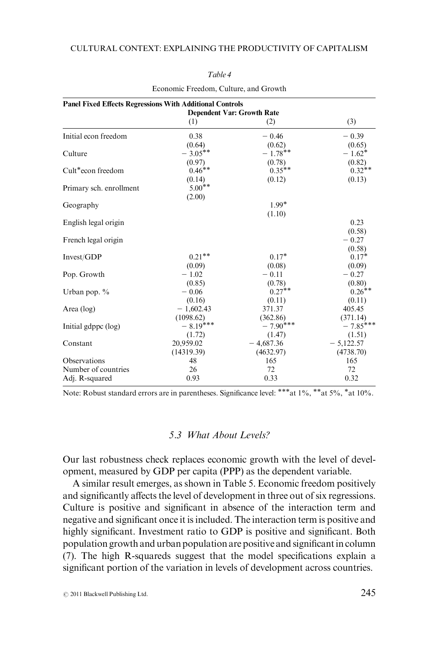#### CULTURAL CONTEXT: EXPLAINING THE PRODUCTIVITY OF CAPITALISM

| <b>Panel Fixed Effects Regressions With Additional Controls</b> |                         | <b>Dependent Var: Growth Rate</b> |                        |
|-----------------------------------------------------------------|-------------------------|-----------------------------------|------------------------|
|                                                                 | (1)                     | (2)                               | (3)                    |
| Initial econ freedom                                            | 0.38                    | $= 0.46$                          | $-0.39$                |
|                                                                 | (0.64)                  | (0.62)                            | (0.65)                 |
| Culture                                                         | $-3.05***$              | $-1.78**$                         | $-1.62*$               |
|                                                                 | (0.97)                  | (0.78)                            | (0.82)                 |
| Cult*econ freedom                                               | $0.46^*$ *              | $0.35**$                          | $0.32^{**}$            |
|                                                                 | (0.14)                  | (0.12)                            | (0.13)                 |
| Primary sch. enrollment                                         | $5.00**$                |                                   |                        |
|                                                                 | (2.00)                  |                                   |                        |
| Geography                                                       |                         | $1.99*$                           |                        |
|                                                                 |                         | (1.10)                            |                        |
| English legal origin                                            |                         |                                   | 0.23                   |
|                                                                 |                         |                                   | (0.58)                 |
| French legal origin                                             |                         |                                   | $= 0.27$               |
|                                                                 |                         |                                   | (0.58)                 |
| Invest/GDP                                                      | $0.21**$                | $0.17*$                           | $0.17*$                |
|                                                                 | (0.09)                  | (0.08)                            | (0.09)                 |
| Pop. Growth                                                     | $-1.02$                 | $= 0.11$                          | $-0.27$                |
|                                                                 | (0.85)                  | (0.78)<br>$0.27***$               | (0.80)                 |
| Urban pop. $\%$                                                 | $-0.06$                 |                                   | $0.26***$              |
|                                                                 | (0.16)                  | (0.11)<br>371.37                  | (0.11)<br>405.45       |
| Area (log)                                                      | $-1,602.43$             |                                   |                        |
|                                                                 | (1098.62)<br>$-8.19***$ | (362.86)<br>$-7.90***$            | (371.14)<br>$-7.85***$ |
| Initial gdppc (log)                                             | (1.72)                  | (1.47)                            | (1.51)                 |
|                                                                 | 20,959.02               | $-4,687.36$                       | $-5,122.57$            |
| Constant                                                        | (14319.39)              | (4632.97)                         | (4738.70)              |
| <b>Observations</b>                                             | 48                      | 165                               | 165                    |
| Number of countries                                             | 26                      | 72                                | 72                     |
| Adj. R-squared                                                  | 0.93                    | 0.33                              | 0.32                   |
|                                                                 |                         |                                   |                        |

#### Table 4

Economic Freedom, Culture, and Growth

Note: Robust standard errors are in parentheses. Significance level: \*\*\* at 1%, \*\* at 5%, \* at 10%.

### 5.3 What About Levels?

Our last robustness check replaces economic growth with the level of development, measured by GDP per capita (PPP) as the dependent variable.

A similar result emerges, as shown in Table 5. Economic freedom positively and significantly affects the level of development in three out of six regressions. Culture is positive and significant in absence of the interaction term and negative and significant once it is included. The interaction term is positive and highly significant. Investment ratio to GDP is positive and significant. Both population growth and urban population are positive and significant in column (7). The high R-squareds suggest that the model specifications explain a significant portion of the variation in levels of development across countries.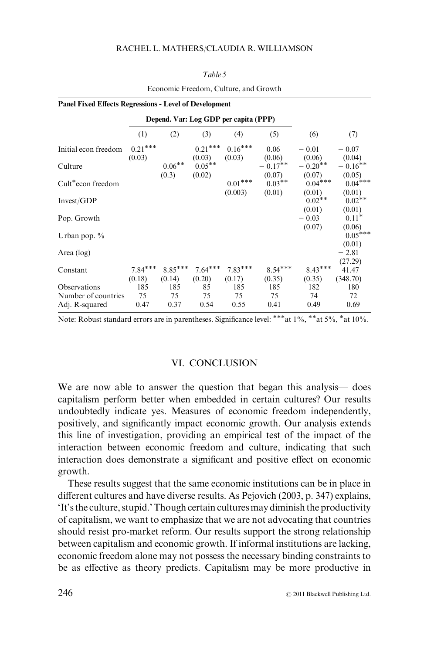| <b>Panel Fixed Effects Regressions - Level of Development</b> |                     |                            |                     |                                       |                     |                     |                     |
|---------------------------------------------------------------|---------------------|----------------------------|---------------------|---------------------------------------|---------------------|---------------------|---------------------|
|                                                               |                     |                            |                     | Depend. Var: Log GDP per capita (PPP) |                     |                     |                     |
|                                                               | (1)                 | (2)                        | (3)                 | (4)                                   | (5)                 | (6)                 | (7)                 |
| Initial econ freedom                                          | $0.21***$<br>(0.03) |                            | $0.21***$<br>(0.03) | $0.16***$<br>(0.03)                   | 0.06<br>(0.06)      | $-0.01$<br>(0.06)   | $-0.07$<br>(0.04)   |
| Culture                                                       |                     | $0.06^{\ast\ast}$<br>(0.3) | $0.05***$<br>(0.02) |                                       | $-0.17**$<br>(0.07) | $-0.20**$<br>(0.07) | $-0.16**$<br>(0.05) |
| Cult*econ freedom                                             |                     |                            |                     | $0.01^{***}\,$<br>(0.003)             | $0.03***$<br>(0.01) | $0.04***$<br>(0.01) | $0.04***$<br>(0.01) |
| Invest/GDP                                                    |                     |                            |                     |                                       |                     | $0.02**$<br>(0.01)  | $0.02**$<br>(0.01)  |
| Pop. Growth                                                   |                     |                            |                     |                                       |                     | $= 0.03$<br>(0.07)  | $0.11*$<br>(0.06)   |
| Urban pop. $\%$                                               |                     |                            |                     |                                       |                     |                     | $0.05***$<br>(0.01) |
| Area (log)                                                    |                     |                            |                     |                                       |                     |                     | $-2.81$<br>(27.29)  |
| Constant                                                      | $7.84***$<br>(0.18) | $8.85***$<br>(0.14)        | $7.64***$<br>(0.20) | $7.83***$<br>(0.17)                   | $8.54***$<br>(0.35) | $8.43***$<br>(0.35) | 41.47<br>(348.70)   |
| <b>Observations</b><br>Number of countries<br>Adj. R-squared  | 185<br>75<br>0.47   | 185<br>75<br>0.37          | 85<br>75<br>0.54    | 185<br>75<br>0.55                     | 185<br>75<br>0.41   | 182<br>74<br>0.49   | 180<br>72<br>0.69   |

| ٠<br>۰, |  |
|---------|--|
|---------|--|

Economic Freedom, Culture, and Growth

Note: Robust standard errors are in parentheses. Significance level: \*\*\* at 1%, \*\* at 5%, \*at 10%.

### VI. CONCLUSION

We are now able to answer the question that began this analysis— does capitalism perform better when embedded in certain cultures? Our results undoubtedly indicate yes. Measures of economic freedom independently, positively, and significantly impact economic growth. Our analysis extends this line of investigation, providing an empirical test of the impact of the interaction between economic freedom and culture, indicating that such interaction does demonstrate a significant and positive effect on economic growth.

These results suggest that the same economic institutions can be in place in different cultures and have diverse results. As Pejovich (2003, p. 347) explains, 'It's the culture, stupid.' Though certain cultures may diminish the productivity of capitalism, we want to emphasize that we are not advocating that countries should resist pro-market reform. Our results support the strong relationship between capitalism and economic growth. If informal institutions are lacking, economic freedom alone may not possess the necessary binding constraints to be as effective as theory predicts. Capitalism may be more productive in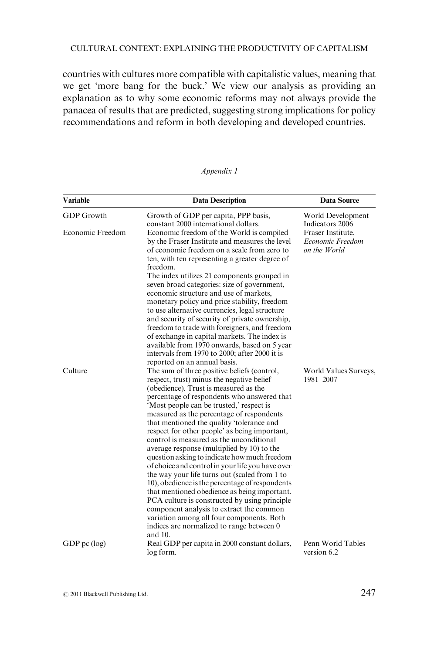countries with cultures more compatible with capitalistic values, meaning that we get 'more bang for the buck.' We view our analysis as providing an explanation as to why some economic reforms may not always provide the panacea of results that are predicted, suggesting strong implications for policy recommendations and reform in both developing and developed countries.

Appendix 1

| Variable          | <b>Data Description</b>                                                                                                                                                                                                                                                                                                                                                                                                                                                                                                                                                                                                                                                                                                                                                                                                                                                                                                                          | <b>Data Source</b>                                    |  |  |  |
|-------------------|--------------------------------------------------------------------------------------------------------------------------------------------------------------------------------------------------------------------------------------------------------------------------------------------------------------------------------------------------------------------------------------------------------------------------------------------------------------------------------------------------------------------------------------------------------------------------------------------------------------------------------------------------------------------------------------------------------------------------------------------------------------------------------------------------------------------------------------------------------------------------------------------------------------------------------------------------|-------------------------------------------------------|--|--|--|
| <b>GDP</b> Growth | Growth of GDP per capita, PPP basis,<br>constant 2000 international dollars.                                                                                                                                                                                                                                                                                                                                                                                                                                                                                                                                                                                                                                                                                                                                                                                                                                                                     | World Development<br>Indicators 2006                  |  |  |  |
| Economic Freedom  | Economic freedom of the World is compiled<br>by the Fraser Institute and measures the level<br>of economic freedom on a scale from zero to<br>ten, with ten representing a greater degree of<br>freedom.<br>The index utilizes 21 components grouped in<br>seven broad categories: size of government,<br>economic structure and use of markets,<br>monetary policy and price stability, freedom<br>to use alternative currencies, legal structure<br>and security of security of private ownership,<br>freedom to trade with foreigners, and freedom<br>of exchange in capital markets. The index is<br>available from 1970 onwards, based on 5 year<br>intervals from 1970 to 2000; after 2000 it is                                                                                                                                                                                                                                           | Fraser Institute,<br>Economic Freedom<br>on the World |  |  |  |
| Culture           | reported on an annual basis.<br>The sum of three positive beliefs (control,<br>respect, trust) minus the negative belief<br>(obedience). Trust is measured as the<br>percentage of respondents who answered that<br>'Most people can be trusted,' respect is<br>measured as the percentage of respondents<br>that mentioned the quality 'tolerance and<br>respect for other people' as being important,<br>control is measured as the unconditional<br>average response (multiplied by 10) to the<br>question asking to indicate how much freedom<br>of choice and control in your life you have over<br>the way your life turns out (scaled from 1 to<br>10), obedience is the percentage of respondents<br>that mentioned obedience as being important.<br>PCA culture is constructed by using principle<br>component analysis to extract the common<br>variation among all four components. Both<br>indices are normalized to range between 0 | World Values Surveys,<br>1981-2007                    |  |  |  |
| GDP pc $(log)$    | and 10.<br>Real GDP per capita in 2000 constant dollars,<br>log form.                                                                                                                                                                                                                                                                                                                                                                                                                                                                                                                                                                                                                                                                                                                                                                                                                                                                            | Penn World Tables<br>version 6.2                      |  |  |  |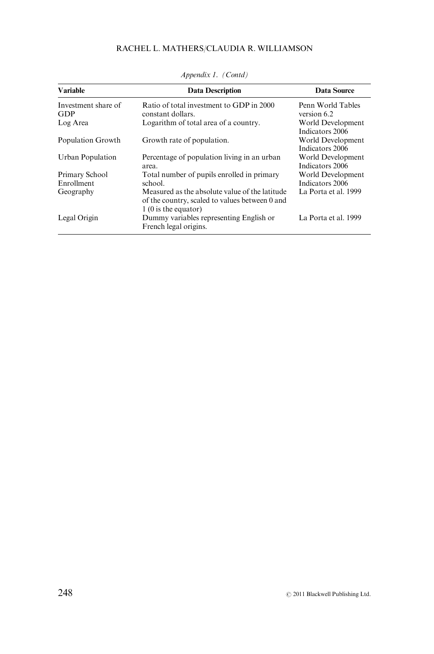| Variable                     | <b>Data Description</b>                                                                                                    | Data Source                          |  |  |  |  |
|------------------------------|----------------------------------------------------------------------------------------------------------------------------|--------------------------------------|--|--|--|--|
| Investment share of<br>GDP   | Ratio of total investment to GDP in 2000<br>constant dollars.                                                              | Penn World Tables<br>version 6.2     |  |  |  |  |
| Log Area                     | Logarithm of total area of a country.                                                                                      | World Development<br>Indicators 2006 |  |  |  |  |
| Population Growth            | Growth rate of population.                                                                                                 | World Development<br>Indicators 2006 |  |  |  |  |
| Urban Population             | Percentage of population living in an urban<br>area.                                                                       | World Development<br>Indicators 2006 |  |  |  |  |
| Primary School<br>Enrollment | Total number of pupils enrolled in primary<br>school.                                                                      | World Development<br>Indicators 2006 |  |  |  |  |
| Geography                    | Measured as the absolute value of the latitude<br>of the country, scaled to values between 0 and<br>$1(0)$ is the equator) | La Porta et al. 1999                 |  |  |  |  |
| Legal Origin                 | Dummy variables representing English or<br>French legal origins.                                                           | La Porta et al. 1999                 |  |  |  |  |

Appendix 1. (Contd)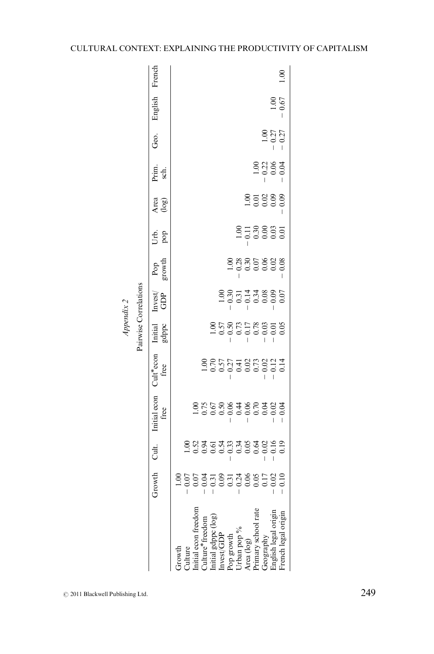|                                     |                                    | French               |                                           |  |                                                                                                                                                                                                                                                                                                                                                                                |                                                                                                                                                                                                                                                                                                                                |                                                                                                                |                           |            |                     |                               |                    | $\frac{8}{1}$                               |
|-------------------------------------|------------------------------------|----------------------|-------------------------------------------|--|--------------------------------------------------------------------------------------------------------------------------------------------------------------------------------------------------------------------------------------------------------------------------------------------------------------------------------------------------------------------------------|--------------------------------------------------------------------------------------------------------------------------------------------------------------------------------------------------------------------------------------------------------------------------------------------------------------------------------|----------------------------------------------------------------------------------------------------------------|---------------------------|------------|---------------------|-------------------------------|--------------------|---------------------------------------------|
|                                     |                                    |                      |                                           |  |                                                                                                                                                                                                                                                                                                                                                                                |                                                                                                                                                                                                                                                                                                                                |                                                                                                                |                           |            |                     |                               |                    |                                             |
|                                     |                                    | English              |                                           |  |                                                                                                                                                                                                                                                                                                                                                                                |                                                                                                                                                                                                                                                                                                                                |                                                                                                                |                           |            |                     |                               | $-0.67$            |                                             |
|                                     |                                    | Geo.                 |                                           |  |                                                                                                                                                                                                                                                                                                                                                                                |                                                                                                                                                                                                                                                                                                                                |                                                                                                                |                           |            |                     |                               | $-0.27$<br>$-0.27$ |                                             |
|                                     | Prim.<br>sch.                      |                      |                                           |  |                                                                                                                                                                                                                                                                                                                                                                                |                                                                                                                                                                                                                                                                                                                                |                                                                                                                |                           |            |                     | $3,383$<br>$-0.05$<br>$-0.05$ |                    |                                             |
|                                     |                                    | Area<br>(log)        |                                           |  |                                                                                                                                                                                                                                                                                                                                                                                |                                                                                                                                                                                                                                                                                                                                |                                                                                                                |                           |            |                     |                               | 85888<br>= 0000    |                                             |
|                                     |                                    | pop<br>э.<br>Б       |                                           |  |                                                                                                                                                                                                                                                                                                                                                                                |                                                                                                                                                                                                                                                                                                                                |                                                                                                                |                           |            |                     |                               |                    |                                             |
| Pairwise Correlations<br>Appendix 2 |                                    | Pop<br>growth        |                                           |  |                                                                                                                                                                                                                                                                                                                                                                                |                                                                                                                                                                                                                                                                                                                                |                                                                                                                |                           |            |                     |                               |                    |                                             |
|                                     | $\frac{\text{Invest}}{\text{GDP}}$ |                      |                                           |  |                                                                                                                                                                                                                                                                                                                                                                                | $\begin{array}{r} 1.000 \\ -0.301 \\ -0.014 \\ -0.0000 \\ -0.0000 \\ -0.0000 \\ -0.0000 \\ -0.000 \\ -0.000 \\ -0.000 \\ -0.000 \\ -0.000 \\ -0.000 \\ -0.000 \\ -0.000 \\ -0.000 \\ -0.000 \\ -0.000 \\ -0.000 \\ -0.000 \\ -0.000 \\ -0.000 \\ -0.000 \\ -0.000 \\ -0.000 \\ -0.000 \\ -0.000 \\ -0.000 \\ -0.000 \\ -0.000$ |                                                                                                                |                           |            |                     |                               |                    |                                             |
|                                     |                                    | Initial<br>gdppc     |                                           |  |                                                                                                                                                                                                                                                                                                                                                                                |                                                                                                                                                                                                                                                                                                                                | $\begin{array}{r} 1.00 \\ -0.57 \\ -0.50 \\ -0.73 \\ -0.73 \\ -0.73 \\ -0.03 \\ -0.01 \\ -0.05 \\ \end{array}$ |                           |            |                     |                               |                    |                                             |
|                                     |                                    | $Cut*$ econ<br>free  |                                           |  | $\begin{array}{c}\n 0.87777 \\  - 0.000000 \\  - 0.000000 \\  - 0.00000\n \end{array}$                                                                                                                                                                                                                                                                                         |                                                                                                                                                                                                                                                                                                                                |                                                                                                                |                           |            |                     |                               |                    |                                             |
|                                     |                                    | Initial econ<br>free |                                           |  |                                                                                                                                                                                                                                                                                                                                                                                |                                                                                                                                                                                                                                                                                                                                |                                                                                                                |                           |            |                     |                               |                    |                                             |
|                                     |                                    | Cult.                |                                           |  | $\begin{array}{l} 8.93 \times 10^{-4} \\ 1.00 \times 10^{-4} \\ 0.00 \times 10^{-4} \\ 0.00 \times 10^{-4} \\ 0.00 \times 10^{-4} \\ 0.00 \times 10^{-4} \\ 0.00 \times 10^{-4} \\ 0.00 \times 10^{-4} \\ 0.00 \times 10^{-4} \\ 0.00 \times 10^{-4} \\ 0.00 \times 10^{-4} \\ 0.00 \times 10^{-4} \\ 0.00 \times 10^{-4} \\ 0.00 \times 10^{-4} \\ 0.00 \times 10^{-4} \\ 0.$ |                                                                                                                                                                                                                                                                                                                                |                                                                                                                |                           |            |                     |                               |                    |                                             |
|                                     |                                    | Growth               |                                           |  | $\begin{array}{cccccccccc} 0.07 & 0.07 & 0.07 & 0.07 & 0.07 & 0.07 & 0.07 & 0.07 & 0.07 & 0.07 & 0.07 & 0.07 & 0.07 & 0.07 & 0.07 & 0.07 & 0.07 & 0.07 & 0.07 & 0.07 & 0.07 & 0.07 & 0.07 & 0.07 & 0.07 & 0.07 & 0.07 & 0.07 & 0.07 & 0.07 & 0.07 & 0.07 & 0.07 & 0.07 & 0.07 & $                                                                                              |                                                                                                                                                                                                                                                                                                                                |                                                                                                                |                           |            |                     |                               |                    |                                             |
|                                     |                                    |                      | Growth<br>Culture<br>Initial econ freedom |  | Culture*freedom<br>Initial gdppc (log)                                                                                                                                                                                                                                                                                                                                         | Invest/GDP                                                                                                                                                                                                                                                                                                                     | Pop growth                                                                                                     | Jrban pop <sup>9</sup> /0 | Area (log) | Primary school rate | Geography                     |                    | English legal origin<br>French legal origin |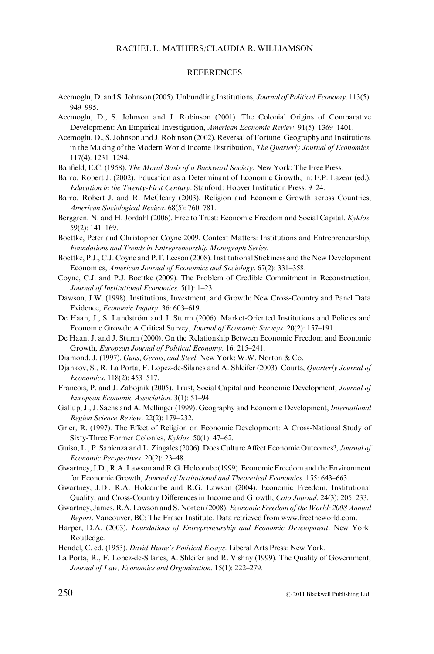#### **REFERENCES**

- Acemoglu, D. and S. Johnson (2005). Unbundling Institutions, Journal of Political Economy. 113(5): 949–995.
- Acemoglu, D., S. Johnson and J. Robinson (2001). The Colonial Origins of Comparative Development: An Empirical Investigation, American Economic Review. 91(5): 1369–1401.
- Acemoglu, D., S. Johnson and J. Robinson (2002). Reversal of Fortune: Geography and Institutions in the Making of the Modern World Income Distribution, The Quarterly Journal of Economics. 117(4): 1231–1294.

Banfield, E.C. (1958). The Moral Basis of a Backward Society. New York: The Free Press.

- Barro, Robert J. (2002). Education as a Determinant of Economic Growth, in: E.P. Lazear (ed.), Education in the Twenty-First Century. Stanford: Hoover Institution Press: 9–24.
- Barro, Robert J. and R. McCleary (2003). Religion and Economic Growth across Countries, American Sociological Review. 68(5): 760–781.
- Berggren, N. and H. Jordahl (2006). Free to Trust: Economic Freedom and Social Capital, Kyklos. 59(2): 141–169.
- Boettke, Peter and Christopher Coyne 2009. Context Matters: Institutions and Entrepreneurship, Foundations and Trends in Entrepreneurship Monograph Series.
- Boettke, P.J., C.J. Coyne and P.T. Leeson (2008). Institutional Stickiness and the New Development Economics, American Journal of Economics and Sociology. 67(2): 331–358.
- Coyne, C.J. and P.J. Boettke (2009). The Problem of Credible Commitment in Reconstruction, Journal of Institutional Economics. 5(1): 1–23.
- Dawson, J.W. (1998). Institutions, Investment, and Growth: New Cross-Country and Panel Data Evidence, Economic Inquiry. 36: 603–619.
- De Haan, J., S. Lundström and J. Sturm (2006). Market-Oriented Institutions and Policies and Economic Growth: A Critical Survey, Journal of Economic Surveys. 20(2): 157–191.
- De Haan, J. and J. Sturm (2000). On the Relationship Between Economic Freedom and Economic Growth, European Journal of Political Economy. 16: 215–241.
- Diamond, J. (1997). Guns, Germs, and Steel. New York: W.W. Norton & Co.
- Djankov, S., R. La Porta, F. Lopez-de-Silanes and A. Shleifer (2003). Courts, Quarterly Journal of Economics. 118(2): 453–517.
- Francois, P. and J. Zabojnik (2005). Trust, Social Capital and Economic Development, Journal of European Economic Association. 3(1): 51–94.
- Gallup, J., J. Sachs and A. Mellinger (1999). Geography and Economic Development, International Region Science Review. 22(2): 179–232.
- Grier, R. (1997). The Effect of Religion on Economic Development: A Cross-National Study of Sixty-Three Former Colonies, Kyklos. 50(1): 47–62.
- Guiso, L., P. Sapienza and L. Zingales (2006). Does Culture Affect Economic Outcomes?, Journal of Economic Perspectives. 20(2): 23–48.
- Gwartney, J.D., R.A. Lawson and R.G.Holcombe (1999). Economic Freedom and the Environment for Economic Growth, Journal of Institutional and Theoretical Economics. 155: 643–663.
- Gwartney, J.D., R.A. Holcombe and R.G. Lawson (2004). Economic Freedom, Institutional Quality, and Cross-Country Differences in Income and Growth, Cato Journal. 24(3): 205–233.
- Gwartney, James, R.A. Lawson and S. Norton (2008). Economic Freedom of the World: 2008 Annual Report. Vancouver, BC: The Fraser Institute. Data retrieved from [www.freetheworld.com.](www.freetheworld.com)
- Harper, D.A. (2003). Foundations of Entrepreneurship and Economic Development. New York: Routledge.
- Hendel, C. ed. (1953). David Hume's Political Essays. Liberal Arts Press: New York.
- La Porta, R., F. Lopez-de-Silanes, A. Shleifer and R. Vishny (1999). The Quality of Government, Journal of Law, Economics and Organization. 15(1): 222–279.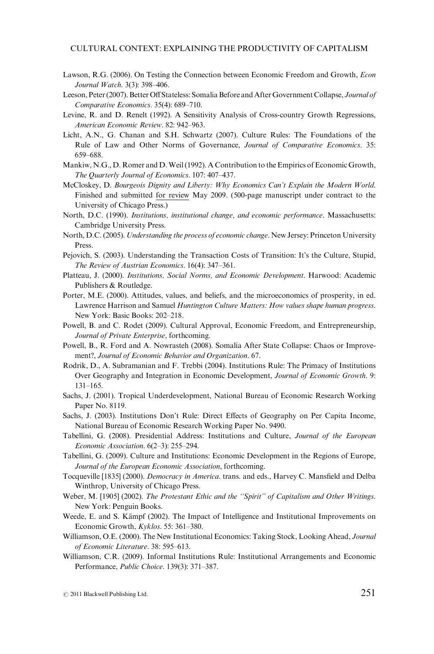#### CULTURAL CONTEXT: EXPLAINING THE PRODUCTIVITY OF CAPITALISM

- Lawson, R.G. (2006). On Testing the Connection between Economic Freedom and Growth, Econ Journal Watch. 3(3): 398–406.
- Leeson, Peter (2007). Better Off Stateless: Somalia Before and After Government Collapse, Journal of Comparative Economics. 35(4): 689–710.
- Levine, R. and D. Renelt (1992). A Sensitivity Analysis of Cross-country Growth Regressions, American Economic Review. 82: 942–963.
- Licht, A.N., G. Chanan and S.H. Schwartz (2007). Culture Rules: The Foundations of the Rule of Law and Other Norms of Governance, Journal of Comparative Economics. 35: 659–688.
- Mankiw, N.G., D. Romer and D.Weil (1992). A Contribution to the Empirics of Economic Growth, The Quarterly Journal of Economics. 107: 407–437.
- McCloskey, D. Bourgeois Dignity and Liberty: Why Economics Can't Explain the Modern World. Finished and submitted for review May 2009. (500-page manuscript under contract to the University of Chicago Press.)
- North, D.C. (1990). Institutions, institutional change, and economic performance. Massachusetts: Cambridge University Press.
- North, D.C. (2005). Understanding the process of economic change. New Jersey: Princeton University Press.
- Pejovich, S. (2003). Understanding the Transaction Costs of Transition: It's the Culture, Stupid, The Review of Austrian Economics. 16(4): 347–361.
- Platteau, J. (2000). Institutions, Social Norms, and Economic Development. Harwood: Academic Publishers & Routledge.
- Porter, M.E. (2000). Attitudes, values, and beliefs, and the microeconomics of prosperity, in ed. Lawrence Harrison and Samuel Huntington Culture Matters: How values shape human progress. New York: Basic Books: 202–218.
- Powell, B. and C. Rodet (2009). Cultural Approval, Economic Freedom, and Entrepreneurship, Journal of Private Enterprise, forthcoming.
- Powell, B., R. Ford and A. Nowrasteh (2008). Somalia After State Collapse: Chaos or Improvement?, Journal of Economic Behavior and Organization. 67.
- Rodrik, D., A. Subramanian and F. Trebbi (2004). Institutions Rule: The Primacy of Institutions Over Geography and Integration in Economic Development, Journal of Economic Growth. 9: 131–165.
- Sachs, J. (2001). Tropical Underdevelopment, National Bureau of Economic Research Working Paper No. 8119.
- Sachs, J. (2003). Institutions Don't Rule: Direct Effects of Geography on Per Capita Income, National Bureau of Economic Research Working Paper No. 9490.
- Tabellini, G. (2008). Presidential Address: Institutions and Culture, Journal of the European Economic Association. 6(2–3): 255–294.
- Tabellini, G. (2009). Culture and Institutions: Economic Development in the Regions of Europe, Journal of the European Economic Association, forthcoming.
- Tocqueville [1835] (2000). Democracy in America. trans. and eds., Harvey C. Mansfield and Delba Winthrop, University of Chicago Press.
- Weber, M. [1905] (2002). The Protestant Ethic and the "Spirit" of Capitalism and Other Writings. New York: Penguin Books.
- Weede, E. and S. Kämpf (2002). The Impact of Intelligence and Institutional Improvements on Economic Growth, Kyklos. 55: 361–380.
- Williamson, O.E. (2000). The New Institutional Economics: Taking Stock, Looking Ahead, Journal of Economic Literature. 38: 595–613.
- Williamson, C.R. (2009). Informal Institutions Rule: Institutional Arrangements and Economic Performance, Public Choice. 139(3): 371–387.

 $\odot$  2011 Blackwell Publishing Ltd.  $251$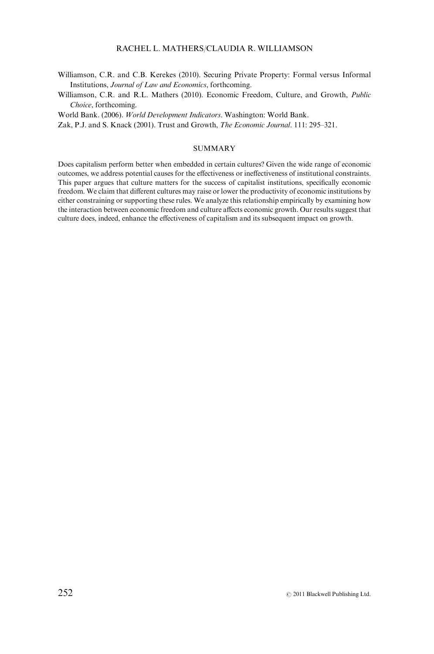- Williamson, C.R. and C.B. Kerekes (2010). Securing Private Property: Formal versus Informal Institutions, Journal of Law and Economics, forthcoming.
- Williamson, C.R. and R.L. Mathers (2010). Economic Freedom, Culture, and Growth, Public Choice, forthcoming.

World Bank. (2006). World Development Indicators. Washington: World Bank.

Zak, P.J. and S. Knack (2001). Trust and Growth, The Economic Journal. 111: 295–321.

#### SUMMARY

Does capitalism perform better when embedded in certain cultures? Given the wide range of economic outcomes, we address potential causes for the effectiveness or ineffectiveness of institutional constraints. This paper argues that culture matters for the success of capitalist institutions, specifically economic freedom. We claim that different cultures may raise or lower the productivity of economic institutions by either constraining or supporting these rules. We analyze this relationship empirically by examining how the interaction between economic freedom and culture affects economic growth. Our results suggest that culture does, indeed, enhance the effectiveness of capitalism and its subsequent impact on growth.